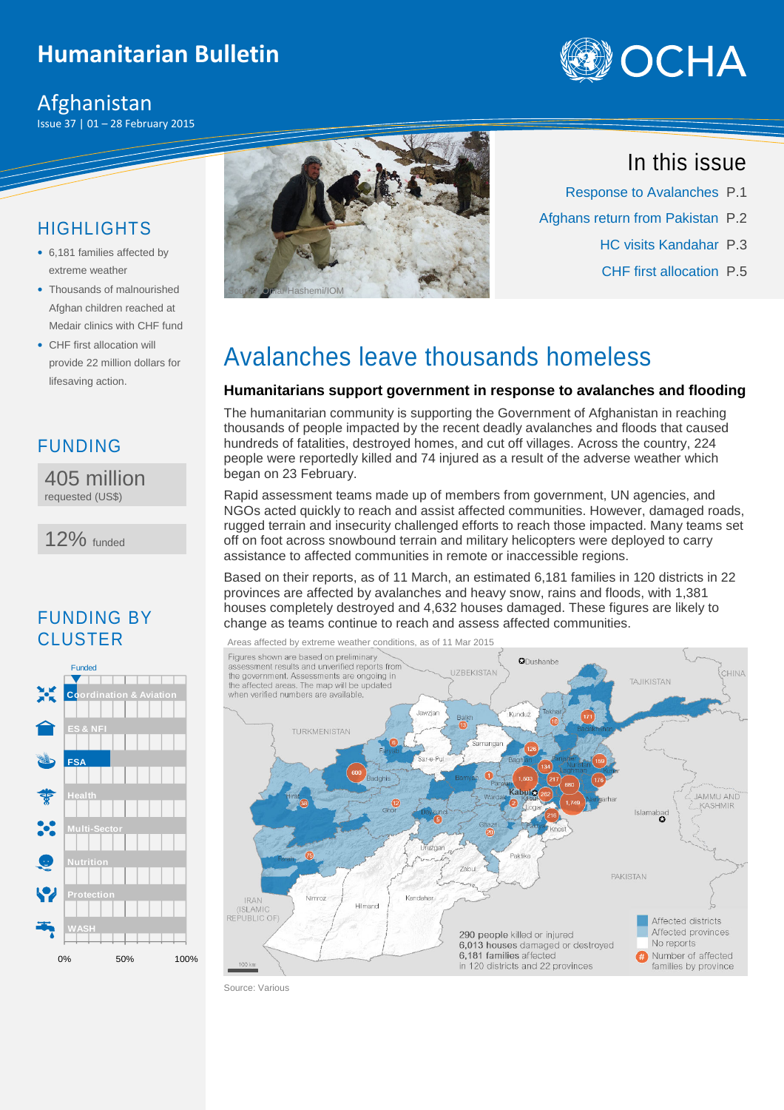## **Humanitarian Bulletin**

### Afghanistan

Issue 37 | 01 – 28 February 2015



### HIGHLIGHTS

- 6,181 families affected by extreme weather
- Thousands of malnourished Afghan children reached at Medair clinics with CHF fund
- CHF first allocation will provide 22 million dollars for lifesaving action.



405 million requested (US\$)

12% funded

### FUNDING BY **CLUSTER**





## In this issue

- Response to Avalanches P.1
- Afghans return from Pakistan P.2
	- HC visits Kandahar P.3
	- CHF first allocation P.5

# Avalanches leave thousands homeless

### **Humanitarians support government in response to avalanches and flooding**

The humanitarian community is supporting the Government of Afghanistan in reaching thousands of people impacted by the recent deadly avalanches and floods that caused hundreds of fatalities, destroyed homes, and cut off villages. Across the country, 224 people were reportedly killed and 74 injured as a result of the adverse weather which began on 23 February.

Rapid assessment teams made up of members from government, UN agencies, and NGOs acted quickly to reach and assist affected communities. However, damaged roads, rugged terrain and insecurity challenged efforts to reach those impacted. Many teams set off on foot across snowbound terrain and military helicopters were deployed to carry assistance to affected communities in remote or inaccessible regions.

Based on their reports, as of 11 March, an estimated 6,181 families in 120 districts in 22 provinces are affected by avalanches and heavy snow, rains and floods, with 1,381 houses completely destroyed and 4,632 houses damaged. These figures are likely to change as teams continue to reach and assess affected communities.



Source: Various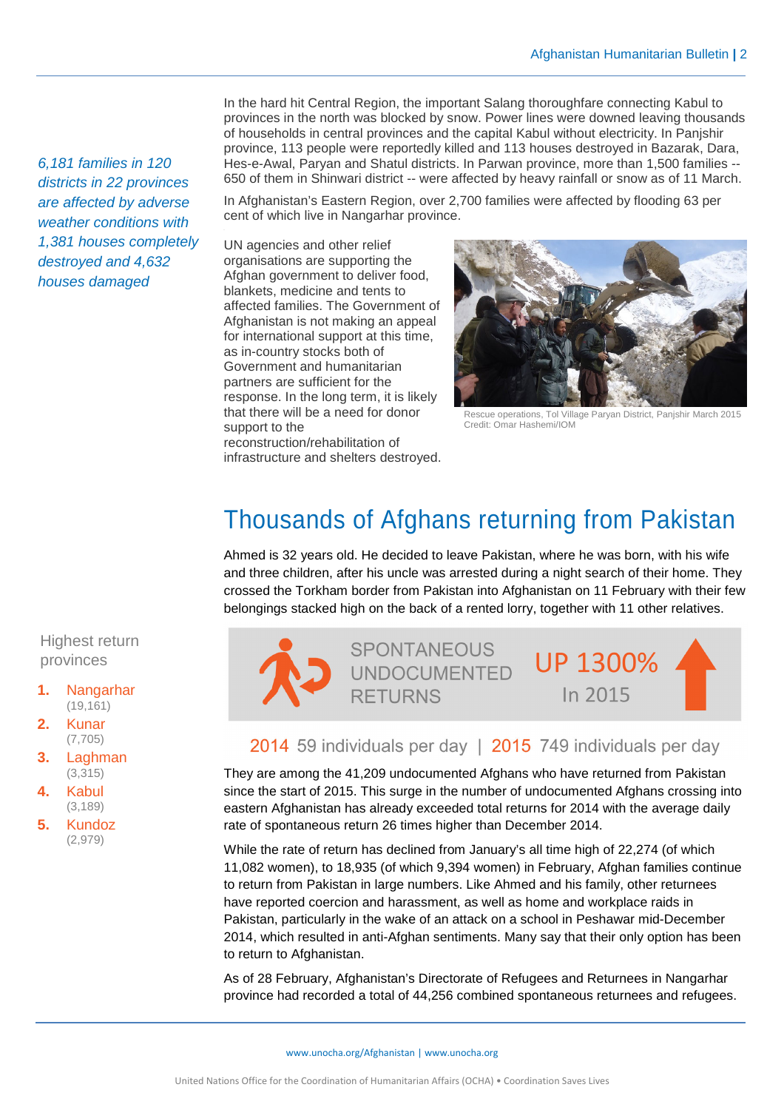6,181 families in 120 districts in 22 provinces are affected by adverse weather conditions with 1,381 houses completely destroyed and 4,632 houses damaged

In the hard hit Central Region, the important Salang thoroughfare connecting Kabul to provinces in the north was blocked by snow. Power lines were downed leaving thousands of households in central provinces and the capital Kabul without electricity. In Panjshir province, 113 people were reportedly killed and 113 houses destroyed in Bazarak, Dara, Hes-e-Awal, Paryan and Shatul districts. In Parwan province, more than 1,500 families -- 650 of them in Shinwari district -- were affected by heavy rainfall or snow as of 11 March.

In Afghanistan's Eastern Region, over 2,700 families were affected by flooding 63 per cent of which live in Nangarhar province.

UN agencies and other relief organisations are supporting the Afghan government to deliver food, blankets, medicine and tents to affected families. The Government of Afghanistan is not making an appeal for international support at this time, as in-country stocks both of Government and humanitarian partners are sufficient for the response. In the long term, it is likely that there will be a need for donor support to the

reconstruction/rehabilitation of infrastructure and shelters destroyed.



Rescue operations, Tol Village Paryan District, Panjshir March 2015 Credit: Omar Hashemi/IOM

# Thousands of Afghans returning from Pakistan

Ahmed is 32 years old. He decided to leave Pakistan, where he was born, with his wife and three children, after his uncle was arrested during a night search of their home. They crossed the Torkham border from Pakistan into Afghanistan on 11 February with their few belongings stacked high on the back of a rented lorry, together with 11 other relatives.



### 2014 59 individuals per day | 2015 749 individuals per day

They are among the 41,209 undocumented Afghans who have returned from Pakistan since the start of 2015. This surge in the number of undocumented Afghans crossing into eastern Afghanistan has already exceeded total returns for 2014 with the average daily rate of spontaneous return 26 times higher than December 2014.

While the rate of return has declined from January's all time high of 22,274 (of which 11,082 women), to 18,935 (of which 9,394 women) in February, Afghan families continue to return from Pakistan in large numbers. Like Ahmed and his family, other returnees have reported coercion and harassment, as well as home and workplace raids in Pakistan, particularly in the wake of an attack on a school in Peshawar mid-December 2014, which resulted in anti-Afghan sentiments. Many say that their only option has been to return to Afghanistan.

As of 28 February, Afghanistan's Directorate of Refugees and Returnees in Nangarhar province had recorded a total of 44,256 combined spontaneous returnees and refugees.

### Highest return provinces

- **1.** Nangarhar (19,161)
- **2.** Kunar (7,705)
- **3.** Laghman (3,315)
- **4.** Kabul (3,189)
- **5.** Kundoz (2,979)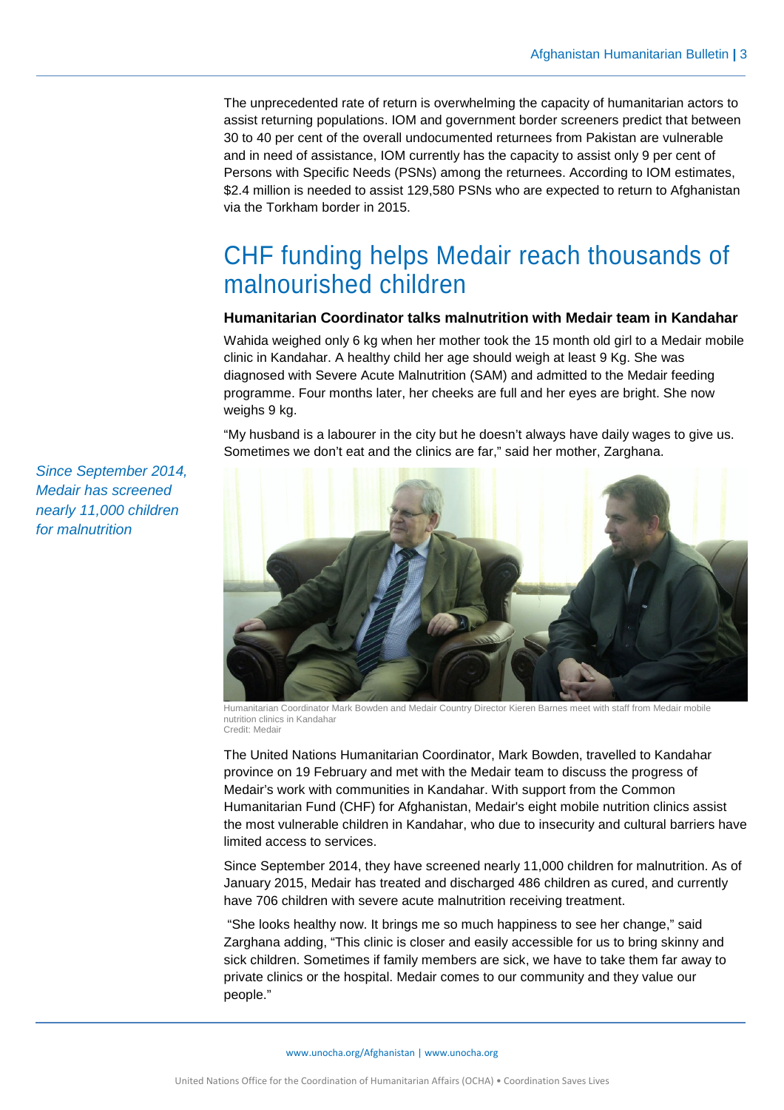The unprecedented rate of return is overwhelming the capacity of humanitarian actors to assist returning populations. IOM and government border screeners predict that between 30 to 40 per cent of the overall undocumented returnees from Pakistan are vulnerable and in need of assistance, IOM currently has the capacity to assist only 9 per cent of Persons with Specific Needs (PSNs) among the returnees. According to IOM estimates, \$2.4 million is needed to assist 129,580 PSNs who are expected to return to Afghanistan via the Torkham border in 2015.

# CHF funding helps Medair reach thousands of malnourished children

#### **Humanitarian Coordinator talks malnutrition with Medair team in Kandahar**

Wahida weighed only 6 kg when her mother took the 15 month old girl to a Medair mobile clinic in Kandahar. A healthy child her age should weigh at least 9 Kg. She was diagnosed with Severe Acute Malnutrition (SAM) and admitted to the Medair feeding programme. Four months later, her cheeks are full and her eyes are bright. She now weighs 9 kg.

"My husband is a labourer in the city but he doesn't always have daily wages to give us. Sometimes we don't eat and the clinics are far," said her mother, Zarghana.



Humanitarian Coordinator Mark Bowden and Medair Country Director Kieren Barnes meet with staff from Medair mobile nutrition clinics in Kandahar Credit: Medair

The United Nations Humanitarian Coordinator, Mark Bowden, travelled to Kandahar province on 19 February and met with the Medair team to discuss the progress of Medair's work with communities in Kandahar. With support from the Common Humanitarian Fund (CHF) for Afghanistan, Medair's eight mobile nutrition clinics assist the most vulnerable children in Kandahar, who due to insecurity and cultural barriers have limited access to services.

Since September 2014, they have screened nearly 11,000 children for malnutrition. As of January 2015, Medair has treated and discharged 486 children as cured, and currently have 706 children with severe acute malnutrition receiving treatment.

 "She looks healthy now. It brings me so much happiness to see her change," said Zarghana adding, "This clinic is closer and easily accessible for us to bring skinny and sick children. Sometimes if family members are sick, we have to take them far away to private clinics or the hospital. Medair comes to our community and they value our people."

Since September 2014, Medair has screened nearly 11,000 children for malnutrition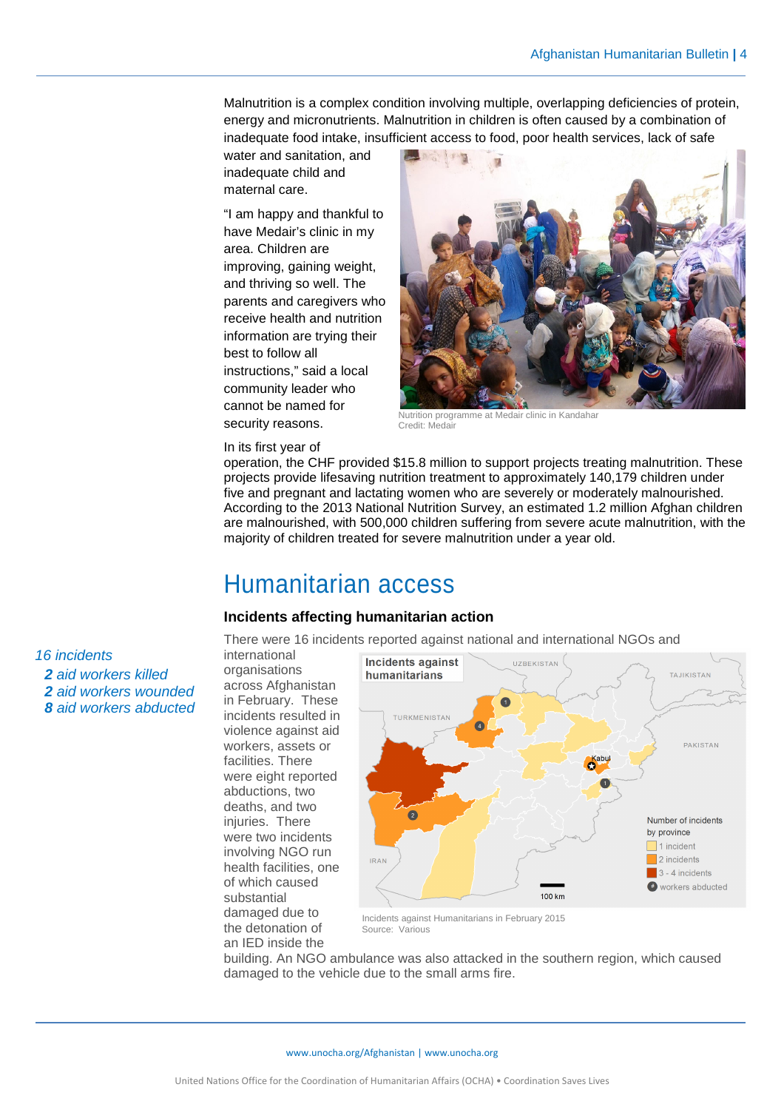Malnutrition is a complex condition involving multiple, overlapping deficiencies of protein, energy and micronutrients. Malnutrition in children is often caused by a combination of inadequate food intake, insufficient access to food, poor health services, lack of safe

water and sanitation, and inadequate child and maternal care.

"I am happy and thankful to have Medair's clinic in my area. Children are improving, gaining weight, and thriving so well. The parents and caregivers who receive health and nutrition information are trying their best to follow all instructions," said a local community leader who cannot be named for security reasons.



Nutrition programme at Medair clinic in Kandahar Credit: Medair

#### In its first year of

operation, the CHF provided \$15.8 million to support projects treating malnutrition. These projects provide lifesaving nutrition treatment to approximately 140,179 children under five and pregnant and lactating women who are severely or moderately malnourished. According to the 2013 National Nutrition Survey, an estimated 1.2 million Afghan children are malnourished, with 500,000 children suffering from severe acute malnutrition, with the majority of children treated for severe malnutrition under a year old.

## Humanitarian access

#### **Incidents affecting humanitarian action**

There were 16 incidents reported against national and international NGOs and

international organisations across Afghanistan in February. These incidents resulted in violence against aid workers, assets or facilities. There were eight reported abductions, two deaths, and two injuries. There were two incidents involving NGO run health facilities, one of which caused substantial damaged due to the detonation of an IED inside the



 Incidents against Humanitarians in February 2015 Source: Various

building. An NGO ambulance was also attacked in the southern region, which caused damaged to the vehicle due to the small arms fire.

16 incidents aid workers killed aid workers wounded aid workers abducted